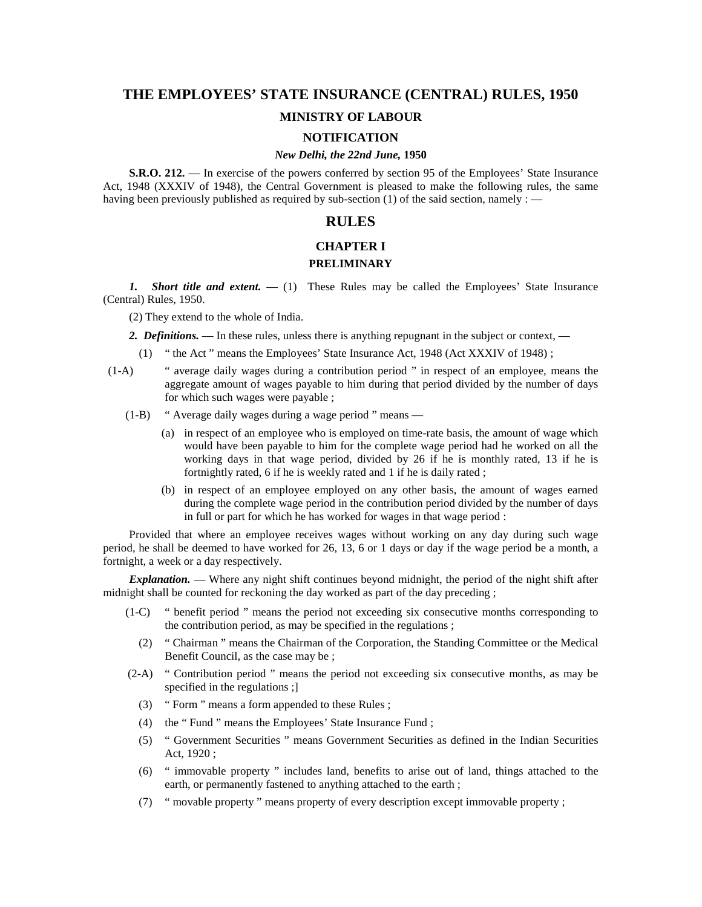# **THE EMPLOYEES' STATE INSURANCE (CENTRAL) RULES, 1950**

## **MINISTRY OF LABOUR**

# **NOTIFICATION**

#### *New Delhi, the 22nd June,* **1950**

**S.R.O. 212.** — In exercise of the powers conferred by section 95 of the Employees' State Insurance Act, 1948 (XXXIV of 1948), the Central Government is pleased to make the following rules, the same having been previously published as required by sub-section (1) of the said section, namely :  $\overline{\phantom{a}}$ 

# **RULES**

## **CHAPTER I PRELIMINARY**

*1. Short title and extent.* — (1) These Rules may be called the Employees' State Insurance (Central) Rules, 1950.

(2) They extend to the whole of India.

2. Definitions. — In these rules, unless there is anything repugnant in the subject or context, —

- (1) " the Act " means the Employees' State Insurance Act, 1948 (Act XXXIV of 1948) ;
- (1-A) " average daily wages during a contribution period " in respect of an employee, means the aggregate amount of wages payable to him during that period divided by the number of days for which such wages were payable ;
	- (1-B) " Average daily wages during a wage period " means
		- (a) in respect of an employee who is employed on time-rate basis, the amount of wage which would have been payable to him for the complete wage period had he worked on all the working days in that wage period, divided by 26 if he is monthly rated, 13 if he is fortnightly rated, 6 if he is weekly rated and 1 if he is daily rated ;
		- (b) in respect of an employee employed on any other basis, the amount of wages earned during the complete wage period in the contribution period divided by the number of days in full or part for which he has worked for wages in that wage period :

Provided that where an employee receives wages without working on any day during such wage period, he shall be deemed to have worked for 26, 13, 6 or 1 days or day if the wage period be a month, a fortnight, a week or a day respectively.

*Explanation.* — Where any night shift continues beyond midnight, the period of the night shift after midnight shall be counted for reckoning the day worked as part of the day preceding ;

- (1-C) " benefit period " means the period not exceeding six consecutive months corresponding to the contribution period, as may be specified in the regulations ;
	- (2) " Chairman " means the Chairman of the Corporation, the Standing Committee or the Medical Benefit Council, as the case may be ;
- (2-A) " Contribution period " means the period not exceeding six consecutive months, as may be specified in the regulations ;]
	- (3) " Form " means a form appended to these Rules ;
	- (4) the " Fund " means the Employees' State Insurance Fund ;
	- (5) " Government Securities " means Government Securities as defined in the Indian Securities Act, 1920 ;
	- (6) " immovable property " includes land, benefits to arise out of land, things attached to the earth, or permanently fastened to anything attached to the earth ;
	- (7) " movable property " means property of every description except immovable property ;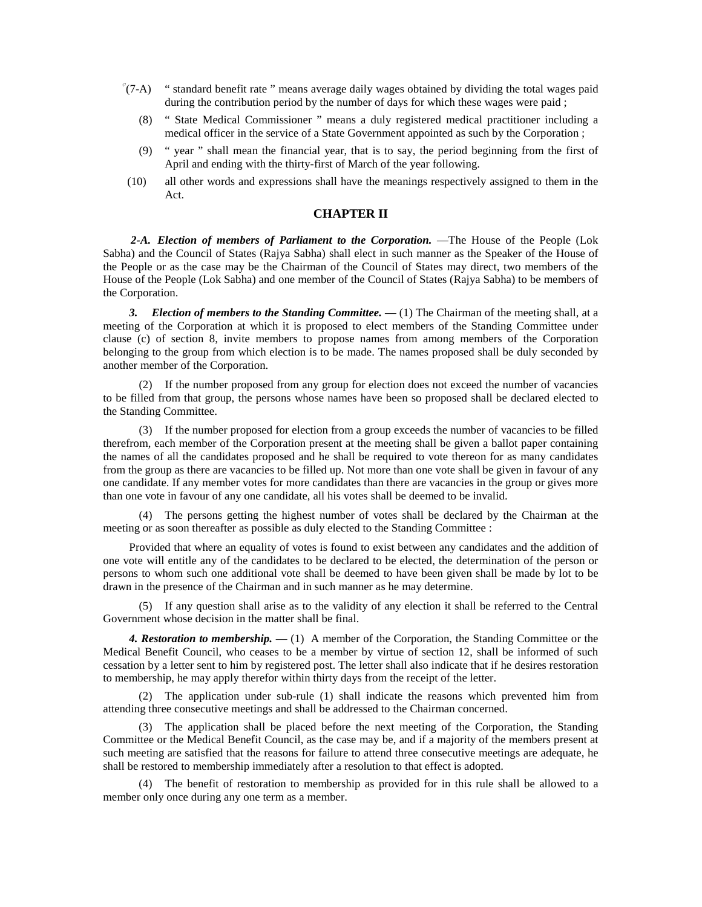- $C(7-A)$  " standard benefit rate " means average daily wages obtained by dividing the total wages paid during the contribution period by the number of days for which these wages were paid ;
	- (8) " State Medical Commissioner " means a duly registered medical practitioner including a medical officer in the service of a State Government appointed as such by the Corporation ;
	- (9) " year " shall mean the financial year, that is to say, the period beginning from the first of April and ending with the thirty-first of March of the year following.
- (10) all other words and expressions shall have the meanings respectively assigned to them in the Act.

## **CHAPTER II**

*2-A. Election of members of Parliament to the Corporation.* —The House of the People (Lok Sabha) and the Council of States (Rajya Sabha) shall elect in such manner as the Speaker of the House of the People or as the case may be the Chairman of the Council of States may direct, two members of the House of the People (Lok Sabha) and one member of the Council of States (Rajya Sabha) to be members of the Corporation.

*3. Election of members to the Standing Committee.* — (1) The Chairman of the meeting shall, at a meeting of the Corporation at which it is proposed to elect members of the Standing Committee under clause (c) of section 8, invite members to propose names from among members of the Corporation belonging to the group from which election is to be made. The names proposed shall be duly seconded by another member of the Corporation.

(2) If the number proposed from any group for election does not exceed the number of vacancies to be filled from that group, the persons whose names have been so proposed shall be declared elected to the Standing Committee.

(3) If the number proposed for election from a group exceeds the number of vacancies to be filled therefrom, each member of the Corporation present at the meeting shall be given a ballot paper containing the names of all the candidates proposed and he shall be required to vote thereon for as many candidates from the group as there are vacancies to be filled up. Not more than one vote shall be given in favour of any one candidate. If any member votes for more candidates than there are vacancies in the group or gives more than one vote in favour of any one candidate, all his votes shall be deemed to be invalid.

(4) The persons getting the highest number of votes shall be declared by the Chairman at the meeting or as soon thereafter as possible as duly elected to the Standing Committee :

Provided that where an equality of votes is found to exist between any candidates and the addition of one vote will entitle any of the candidates to be declared to be elected, the determination of the person or persons to whom such one additional vote shall be deemed to have been given shall be made by lot to be drawn in the presence of the Chairman and in such manner as he may determine.

(5) If any question shall arise as to the validity of any election it shall be referred to the Central Government whose decision in the matter shall be final.

*4. Restoration to membership.* — (1) A member of the Corporation, the Standing Committee or the Medical Benefit Council, who ceases to be a member by virtue of section 12, shall be informed of such cessation by a letter sent to him by registered post. The letter shall also indicate that if he desires restoration to membership, he may apply therefor within thirty days from the receipt of the letter.

(2) The application under sub-rule (1) shall indicate the reasons which prevented him from attending three consecutive meetings and shall be addressed to the Chairman concerned.

(3) The application shall be placed before the next meeting of the Corporation, the Standing Committee or the Medical Benefit Council, as the case may be, and if a majority of the members present at such meeting are satisfied that the reasons for failure to attend three consecutive meetings are adequate, he shall be restored to membership immediately after a resolution to that effect is adopted.

(4) The benefit of restoration to membership as provided for in this rule shall be allowed to a member only once during any one term as a member.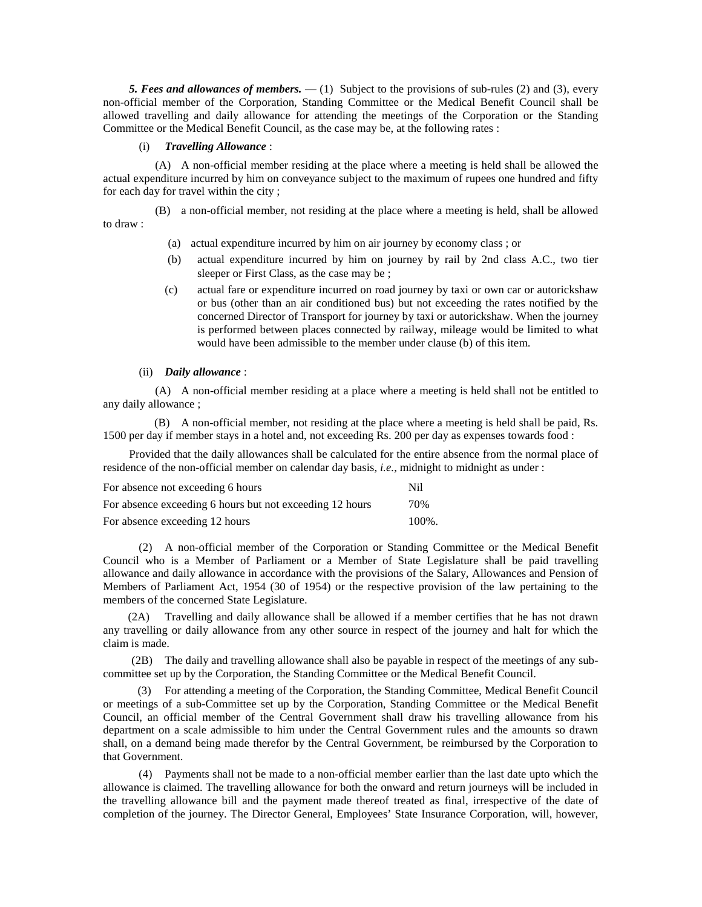*5. Fees and allowances of members.* — (1) Subject to the provisions of sub-rules (2) and (3), every non-official member of the Corporation, Standing Committee or the Medical Benefit Council shall be allowed travelling and daily allowance for attending the meetings of the Corporation or the Standing Committee or the Medical Benefit Council, as the case may be, at the following rates :

#### (i) *Travelling Allowance* :

(A) A non-official member residing at the place where a meeting is held shall be allowed the actual expenditure incurred by him on conveyance subject to the maximum of rupees one hundred and fifty for each day for travel within the city ;

(B) a non-official member, not residing at the place where a meeting is held, shall be allowed to draw :

- (a) actual expenditure incurred by him on air journey by economy class ; or
- (b) actual expenditure incurred by him on journey by rail by 2nd class A.C., two tier sleeper or First Class, as the case may be ;
- (c) actual fare or expenditure incurred on road journey by taxi or own car or autorickshaw or bus (other than an air conditioned bus) but not exceeding the rates notified by the concerned Director of Transport for journey by taxi or autorickshaw. When the journey is performed between places connected by railway, mileage would be limited to what would have been admissible to the member under clause (b) of this item.

## (ii) *Daily allowance* :

(A) A non-official member residing at a place where a meeting is held shall not be entitled to any daily allowance ;

 (B) A non-official member, not residing at the place where a meeting is held shall be paid, Rs. 1500 per day if member stays in a hotel and, not exceeding Rs. 200 per day as expenses towards food :

Provided that the daily allowances shall be calculated for the entire absence from the normal place of residence of the non-official member on calendar day basis, *i.e.*, midnight to midnight as under :

| For absence not exceeding 6 hours                        | N <sub>i</sub> |
|----------------------------------------------------------|----------------|
| For absence exceeding 6 hours but not exceeding 12 hours | 70%            |
| For absence exceeding 12 hours                           | $100\%$ .      |

(2) A non-official member of the Corporation or Standing Committee or the Medical Benefit Council who is a Member of Parliament or a Member of State Legislature shall be paid travelling allowance and daily allowance in accordance with the provisions of the Salary, Allowances and Pension of Members of Parliament Act, 1954 (30 of 1954) or the respective provision of the law pertaining to the members of the concerned State Legislature.

 (2A) Travelling and daily allowance shall be allowed if a member certifies that he has not drawn any travelling or daily allowance from any other source in respect of the journey and halt for which the claim is made.

 (2B) The daily and travelling allowance shall also be payable in respect of the meetings of any subcommittee set up by the Corporation, the Standing Committee or the Medical Benefit Council.

 (3) For attending a meeting of the Corporation, the Standing Committee, Medical Benefit Council or meetings of a sub-Committee set up by the Corporation, Standing Committee or the Medical Benefit Council, an official member of the Central Government shall draw his travelling allowance from his department on a scale admissible to him under the Central Government rules and the amounts so drawn shall, on a demand being made therefor by the Central Government, be reimbursed by the Corporation to that Government.

(4) Payments shall not be made to a non-official member earlier than the last date upto which the allowance is claimed. The travelling allowance for both the onward and return journeys will be included in the travelling allowance bill and the payment made thereof treated as final, irrespective of the date of completion of the journey. The Director General, Employees' State Insurance Corporation, will, however,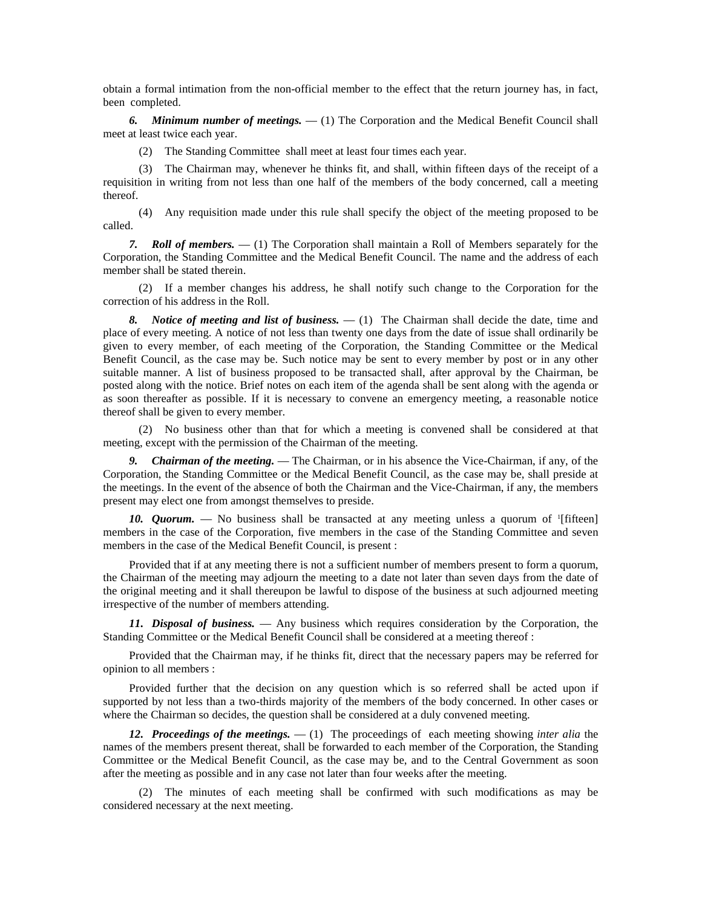obtain a formal intimation from the non-official member to the effect that the return journey has, in fact, been completed.

*6. Minimum number of meetings.* — (1) The Corporation and the Medical Benefit Council shall meet at least twice each year.

(2) The Standing Committee shall meet at least four times each year.

(3) The Chairman may, whenever he thinks fit, and shall, within fifteen days of the receipt of a requisition in writing from not less than one half of the members of the body concerned, call a meeting thereof.

(4) Any requisition made under this rule shall specify the object of the meeting proposed to be called.

*7. Roll of members.* — (1) The Corporation shall maintain a Roll of Members separately for the Corporation, the Standing Committee and the Medical Benefit Council. The name and the address of each member shall be stated therein.

(2) If a member changes his address, he shall notify such change to the Corporation for the correction of his address in the Roll.

*8. Notice of meeting and list of business.* — (1) The Chairman shall decide the date, time and place of every meeting. A notice of not less than twenty one days from the date of issue shall ordinarily be given to every member, of each meeting of the Corporation, the Standing Committee or the Medical Benefit Council, as the case may be. Such notice may be sent to every member by post or in any other suitable manner. A list of business proposed to be transacted shall, after approval by the Chairman, be posted along with the notice. Brief notes on each item of the agenda shall be sent along with the agenda or as soon thereafter as possible. If it is necessary to convene an emergency meeting, a reasonable notice thereof shall be given to every member.

(2) No business other than that for which a meeting is convened shall be considered at that meeting, except with the permission of the Chairman of the meeting.

*9. Chairman of the meeting.* — The Chairman, or in his absence the Vice-Chairman, if any, of the Corporation, the Standing Committee or the Medical Benefit Council, as the case may be, shall preside at the meetings. In the event of the absence of both the Chairman and the Vice-Chairman, if any, the members present may elect one from amongst themselves to preside.

10. *Quorum.* — No business shall be transacted at any meeting unless a quorum of '[fifteen] members in the case of the Corporation, five members in the case of the Standing Committee and seven members in the case of the Medical Benefit Council, is present :

Provided that if at any meeting there is not a sufficient number of members present to form a quorum, the Chairman of the meeting may adjourn the meeting to a date not later than seven days from the date of the original meeting and it shall thereupon be lawful to dispose of the business at such adjourned meeting irrespective of the number of members attending.

*11. Disposal of business.* — Any business which requires consideration by the Corporation, the Standing Committee or the Medical Benefit Council shall be considered at a meeting thereof :

Provided that the Chairman may, if he thinks fit, direct that the necessary papers may be referred for opinion to all members :

Provided further that the decision on any question which is so referred shall be acted upon if supported by not less than a two-thirds majority of the members of the body concerned. In other cases or where the Chairman so decides, the question shall be considered at a duly convened meeting.

*12. Proceedings of the meetings.* — (1) The proceedings of each meeting showing *inter alia* the names of the members present thereat, shall be forwarded to each member of the Corporation, the Standing Committee or the Medical Benefit Council, as the case may be, and to the Central Government as soon after the meeting as possible and in any case not later than four weeks after the meeting.

(2) The minutes of each meeting shall be confirmed with such modifications as may be considered necessary at the next meeting.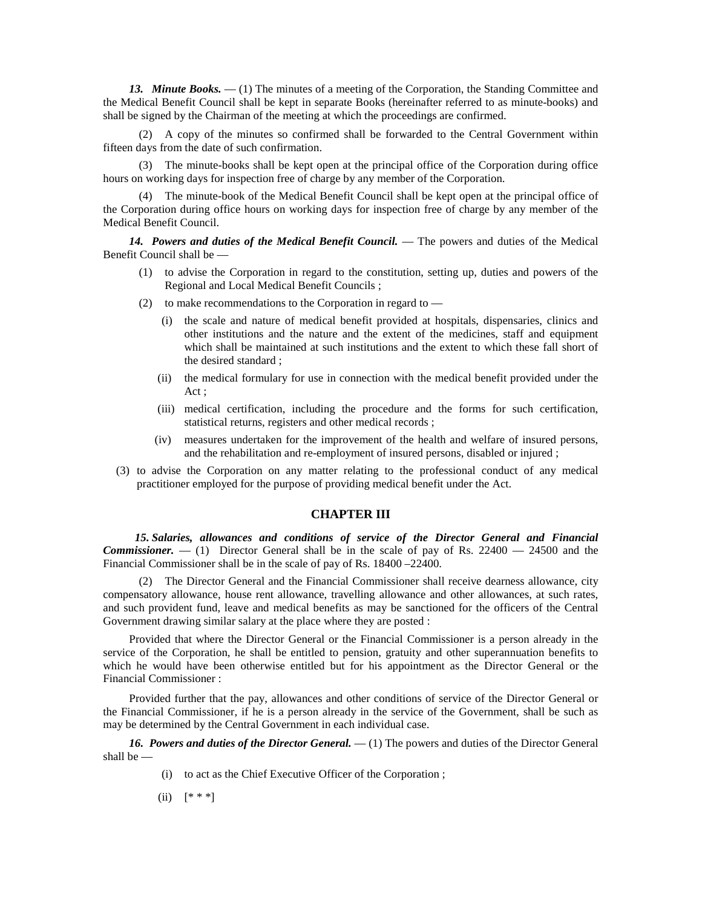*13. Minute Books.* — (1) The minutes of a meeting of the Corporation, the Standing Committee and the Medical Benefit Council shall be kept in separate Books (hereinafter referred to as minute-books) and shall be signed by the Chairman of the meeting at which the proceedings are confirmed.

(2) A copy of the minutes so confirmed shall be forwarded to the Central Government within fifteen days from the date of such confirmation.

(3) The minute-books shall be kept open at the principal office of the Corporation during office hours on working days for inspection free of charge by any member of the Corporation.

(4) The minute-book of the Medical Benefit Council shall be kept open at the principal office of the Corporation during office hours on working days for inspection free of charge by any member of the Medical Benefit Council.

*14. Powers and duties of the Medical Benefit Council.* — The powers and duties of the Medical Benefit Council shall be —

- (1) to advise the Corporation in regard to the constitution, setting up, duties and powers of the Regional and Local Medical Benefit Councils ;
- (2) to make recommendations to the Corporation in regard to
	- (i) the scale and nature of medical benefit provided at hospitals, dispensaries, clinics and other institutions and the nature and the extent of the medicines, staff and equipment which shall be maintained at such institutions and the extent to which these fall short of the desired standard ;
	- (ii) the medical formulary for use in connection with the medical benefit provided under the Act ;
	- (iii) medical certification, including the procedure and the forms for such certification, statistical returns, registers and other medical records ;
	- (iv) measures undertaken for the improvement of the health and welfare of insured persons, and the rehabilitation and re-employment of insured persons, disabled or injured ;
- (3) to advise the Corporation on any matter relating to the professional conduct of any medical practitioner employed for the purpose of providing medical benefit under the Act.

#### **CHAPTER III**

 *15. Salaries, allowances and conditions of service of the Director General and Financial Commissioner.* — (1) Director General shall be in the scale of pay of Rs. 22400 — 24500 and the Financial Commissioner shall be in the scale of pay of Rs. 18400 –22400.

(2) The Director General and the Financial Commissioner shall receive dearness allowance, city compensatory allowance, house rent allowance, travelling allowance and other allowances, at such rates, and such provident fund, leave and medical benefits as may be sanctioned for the officers of the Central Government drawing similar salary at the place where they are posted :

Provided that where the Director General or the Financial Commissioner is a person already in the service of the Corporation, he shall be entitled to pension, gratuity and other superannuation benefits to which he would have been otherwise entitled but for his appointment as the Director General or the Financial Commissioner :

Provided further that the pay, allowances and other conditions of service of the Director General or the Financial Commissioner, if he is a person already in the service of the Government, shall be such as may be determined by the Central Government in each individual case.

*16. Powers and duties of the Director General.* — (1) The powers and duties of the Director General shall be —

(i) to act as the Chief Executive Officer of the Corporation ;

(ii)  $[$  \* \* \*]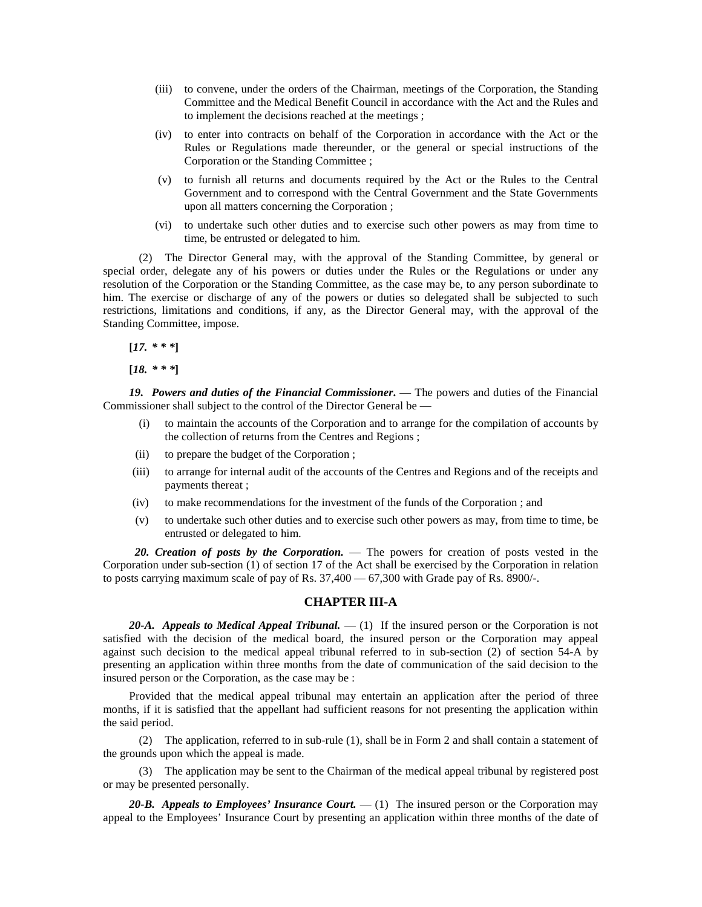- (iii) to convene, under the orders of the Chairman, meetings of the Corporation, the Standing Committee and the Medical Benefit Council in accordance with the Act and the Rules and to implement the decisions reached at the meetings ;
- (iv) to enter into contracts on behalf of the Corporation in accordance with the Act or the Rules or Regulations made thereunder, or the general or special instructions of the Corporation or the Standing Committee ;
- (v) to furnish all returns and documents required by the Act or the Rules to the Central Government and to correspond with the Central Government and the State Governments upon all matters concerning the Corporation ;
- (vi) to undertake such other duties and to exercise such other powers as may from time to time, be entrusted or delegated to him.

(2) The Director General may, with the approval of the Standing Committee, by general or special order, delegate any of his powers or duties under the Rules or the Regulations or under any resolution of the Corporation or the Standing Committee, as the case may be, to any person subordinate to him. The exercise or discharge of any of the powers or duties so delegated shall be subjected to such restrictions, limitations and conditions, if any, as the Director General may, with the approval of the Standing Committee, impose.

**[***17. \* \* \****]**

**[***18. \* \* \****]**

*19. Powers and duties of the Financial Commissioner***.** — The powers and duties of the Financial Commissioner shall subject to the control of the Director General be —

- (i) to maintain the accounts of the Corporation and to arrange for the compilation of accounts by the collection of returns from the Centres and Regions ;
- (ii) to prepare the budget of the Corporation ;
- (iii) to arrange for internal audit of the accounts of the Centres and Regions and of the receipts and payments thereat ;
- (iv) to make recommendations for the investment of the funds of the Corporation ; and
- (v) to undertake such other duties and to exercise such other powers as may, from time to time, be entrusted or delegated to him.

 *20. Creation of posts by the Corporation.* — The powers for creation of posts vested in the Corporation under sub-section (1) of section 17 of the Act shall be exercised by the Corporation in relation to posts carrying maximum scale of pay of Rs. 37,400 — 67,300 with Grade pay of Rs. 8900/-.

#### **CHAPTER III-A**

*20-A. Appeals to Medical Appeal Tribunal.* — (1) If the insured person or the Corporation is not satisfied with the decision of the medical board, the insured person or the Corporation may appeal against such decision to the medical appeal tribunal referred to in sub-section (2) of section 54-A by presenting an application within three months from the date of communication of the said decision to the insured person or the Corporation, as the case may be :

Provided that the medical appeal tribunal may entertain an application after the period of three months, if it is satisfied that the appellant had sufficient reasons for not presenting the application within the said period.

(2) The application, referred to in sub-rule (1), shall be in Form 2 and shall contain a statement of the grounds upon which the appeal is made.

(3) The application may be sent to the Chairman of the medical appeal tribunal by registered post or may be presented personally.

*20-B. Appeals to Employees' Insurance Court.* — (1) The insured person or the Corporation may appeal to the Employees' Insurance Court by presenting an application within three months of the date of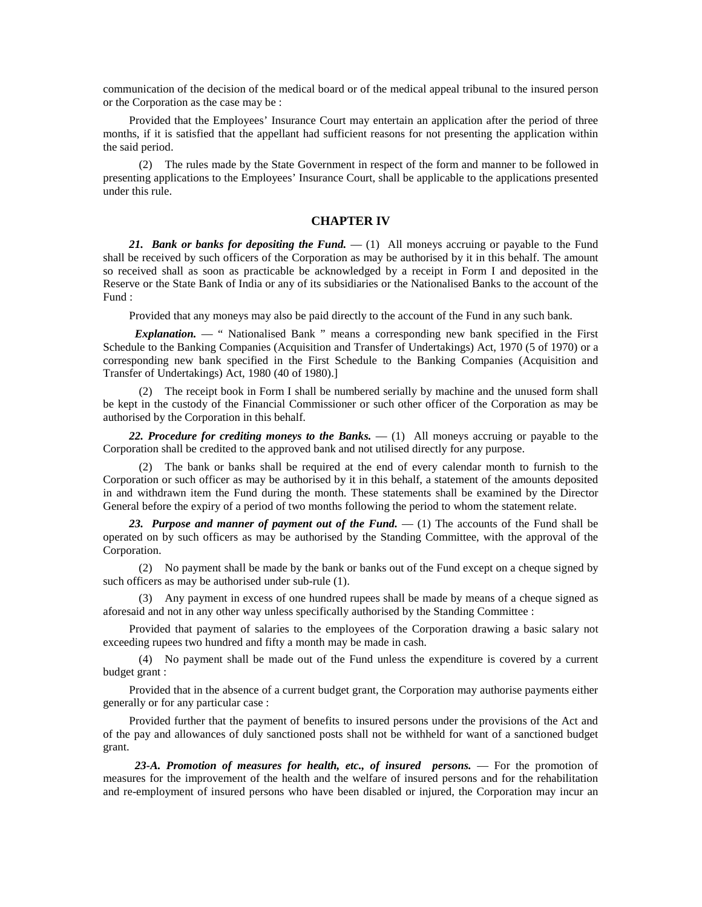communication of the decision of the medical board or of the medical appeal tribunal to the insured person or the Corporation as the case may be :

Provided that the Employees' Insurance Court may entertain an application after the period of three months, if it is satisfied that the appellant had sufficient reasons for not presenting the application within the said period.

(2) The rules made by the State Government in respect of the form and manner to be followed in presenting applications to the Employees' Insurance Court, shall be applicable to the applications presented under this rule.

## **CHAPTER IV**

*21. Bank or banks for depositing the Fund.* — (1) All moneys accruing or payable to the Fund shall be received by such officers of the Corporation as may be authorised by it in this behalf. The amount so received shall as soon as practicable be acknowledged by a receipt in Form I and deposited in the Reserve or the State Bank of India or any of its subsidiaries or the Nationalised Banks to the account of the Fund :

Provided that any moneys may also be paid directly to the account of the Fund in any such bank.

*Explanation.* — " Nationalised Bank " means a corresponding new bank specified in the First Schedule to the Banking Companies (Acquisition and Transfer of Undertakings) Act, 1970 (5 of 1970) or a corresponding new bank specified in the First Schedule to the Banking Companies (Acquisition and Transfer of Undertakings) Act, 1980 (40 of 1980).]

(2) The receipt book in Form I shall be numbered serially by machine and the unused form shall be kept in the custody of the Financial Commissioner or such other officer of the Corporation as may be authorised by the Corporation in this behalf.

*22. Procedure for crediting moneys to the Banks.* — (1) All moneys accruing or payable to the Corporation shall be credited to the approved bank and not utilised directly for any purpose.

(2) The bank or banks shall be required at the end of every calendar month to furnish to the Corporation or such officer as may be authorised by it in this behalf, a statement of the amounts deposited in and withdrawn item the Fund during the month. These statements shall be examined by the Director General before the expiry of a period of two months following the period to whom the statement relate.

*23. Purpose and manner of payment out of the Fund.* — (1) The accounts of the Fund shall be operated on by such officers as may be authorised by the Standing Committee, with the approval of the Corporation.

(2) No payment shall be made by the bank or banks out of the Fund except on a cheque signed by such officers as may be authorised under sub-rule (1).

(3) Any payment in excess of one hundred rupees shall be made by means of a cheque signed as aforesaid and not in any other way unless specifically authorised by the Standing Committee :

Provided that payment of salaries to the employees of the Corporation drawing a basic salary not exceeding rupees two hundred and fifty a month may be made in cash.

(4) No payment shall be made out of the Fund unless the expenditure is covered by a current budget grant :

Provided that in the absence of a current budget grant, the Corporation may authorise payments either generally or for any particular case :

Provided further that the payment of benefits to insured persons under the provisions of the Act and of the pay and allowances of duly sanctioned posts shall not be withheld for want of a sanctioned budget grant.

 *23-A. Promotion of measures for health, etc., of insured persons.* — For the promotion of measures for the improvement of the health and the welfare of insured persons and for the rehabilitation and re-employment of insured persons who have been disabled or injured, the Corporation may incur an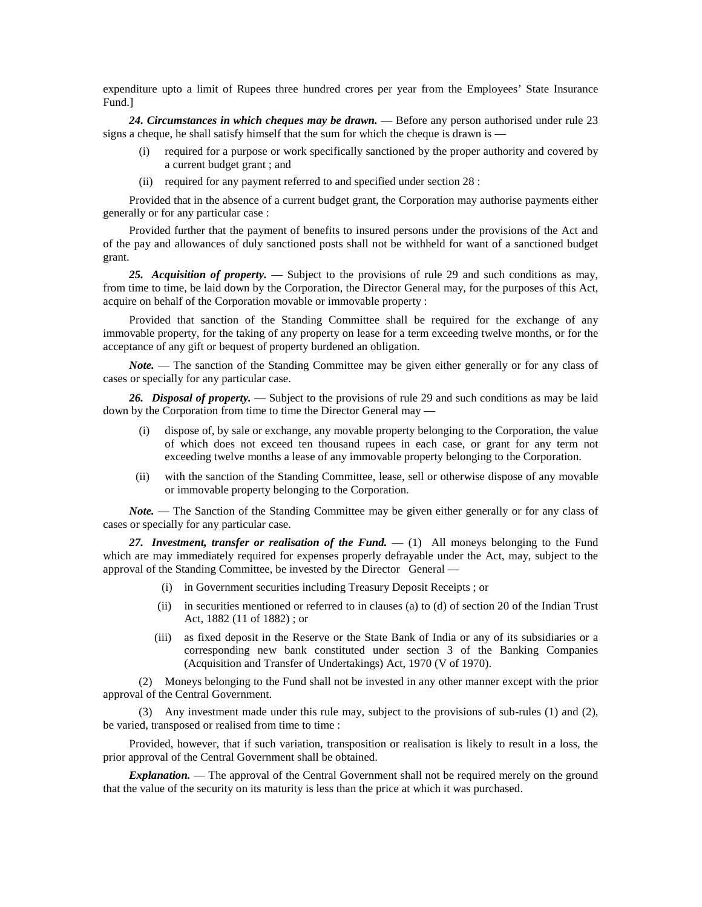expenditure upto a limit of Rupees three hundred crores per year from the Employees' State Insurance Fund.]

*24. Circumstances in which cheques may be drawn.* — Before any person authorised under rule 23 signs a cheque, he shall satisfy himself that the sum for which the cheque is drawn is —

- (i) required for a purpose or work specifically sanctioned by the proper authority and covered by a current budget grant ; and
- (ii) required for any payment referred to and specified under section 28 :

Provided that in the absence of a current budget grant, the Corporation may authorise payments either generally or for any particular case :

Provided further that the payment of benefits to insured persons under the provisions of the Act and of the pay and allowances of duly sanctioned posts shall not be withheld for want of a sanctioned budget grant.

*25. Acquisition of property.* — Subject to the provisions of rule 29 and such conditions as may, from time to time, be laid down by the Corporation, the Director General may, for the purposes of this Act, acquire on behalf of the Corporation movable or immovable property :

Provided that sanction of the Standing Committee shall be required for the exchange of any immovable property, for the taking of any property on lease for a term exceeding twelve months, or for the acceptance of any gift or bequest of property burdened an obligation.

*Note.* — The sanction of the Standing Committee may be given either generally or for any class of cases or specially for any particular case.

*26. Disposal of property.* — Subject to the provisions of rule 29 and such conditions as may be laid down by the Corporation from time to time the Director General may —

- (i) dispose of, by sale or exchange, any movable property belonging to the Corporation, the value of which does not exceed ten thousand rupees in each case, or grant for any term not exceeding twelve months a lease of any immovable property belonging to the Corporation.
- (ii) with the sanction of the Standing Committee, lease, sell or otherwise dispose of any movable or immovable property belonging to the Corporation.

*Note.* — The Sanction of the Standing Committee may be given either generally or for any class of cases or specially for any particular case.

*27. Investment, transfer or realisation of the Fund.* — (1) All moneys belonging to the Fund which are may immediately required for expenses properly defrayable under the Act, may, subject to the approval of the Standing Committee, be invested by the Director General —

- (i) in Government securities including Treasury Deposit Receipts ; or
- (ii) in securities mentioned or referred to in clauses (a) to (d) of section 20 of the Indian Trust Act, 1882 (11 of 1882) ; or
- (iii) as fixed deposit in the Reserve or the State Bank of India or any of its subsidiaries or a corresponding new bank constituted under section 3 of the Banking Companies (Acquisition and Transfer of Undertakings) Act, 1970 (V of 1970).

(2) Moneys belonging to the Fund shall not be invested in any other manner except with the prior approval of the Central Government.

(3) Any investment made under this rule may, subject to the provisions of sub-rules (1) and (2), be varied, transposed or realised from time to time :

Provided, however, that if such variation, transposition or realisation is likely to result in a loss, the prior approval of the Central Government shall be obtained.

*Explanation.* — The approval of the Central Government shall not be required merely on the ground that the value of the security on its maturity is less than the price at which it was purchased.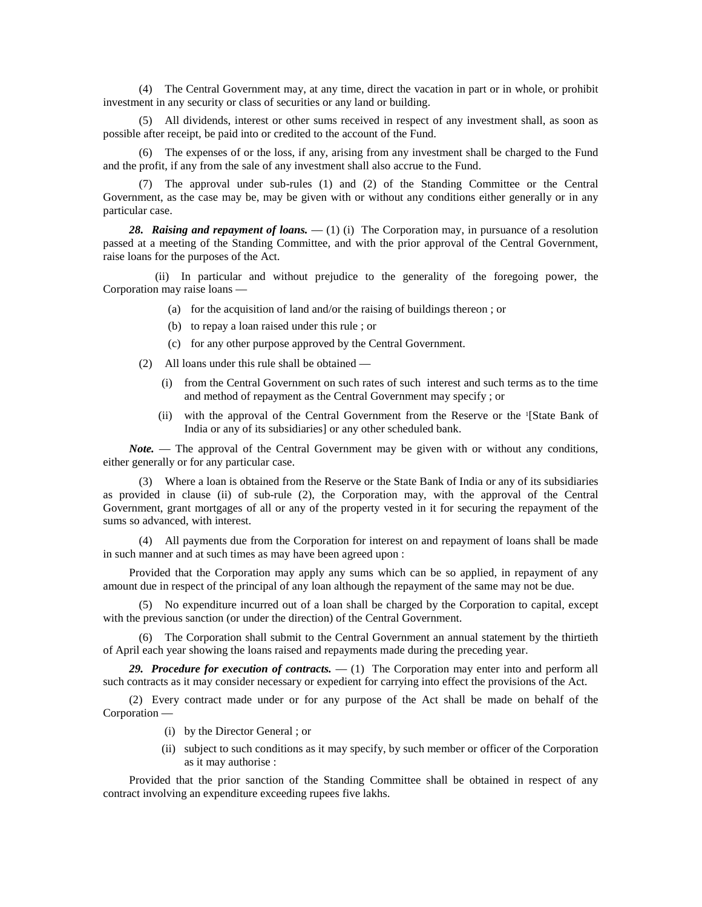(4) The Central Government may, at any time, direct the vacation in part or in whole, or prohibit investment in any security or class of securities or any land or building.

(5) All dividends, interest or other sums received in respect of any investment shall, as soon as possible after receipt, be paid into or credited to the account of the Fund.

(6) The expenses of or the loss, if any, arising from any investment shall be charged to the Fund and the profit, if any from the sale of any investment shall also accrue to the Fund.

(7) The approval under sub-rules (1) and (2) of the Standing Committee or the Central Government, as the case may be, may be given with or without any conditions either generally or in any particular case.

*28. Raising and repayment of loans.* — (1) (i) The Corporation may, in pursuance of a resolution passed at a meeting of the Standing Committee, and with the prior approval of the Central Government, raise loans for the purposes of the Act.

(ii) In particular and without prejudice to the generality of the foregoing power, the Corporation may raise loans —

- (a) for the acquisition of land and/or the raising of buildings thereon ; or
- (b) to repay a loan raised under this rule ; or
- (c) for any other purpose approved by the Central Government.
- (2) All loans under this rule shall be obtained
	- (i) from the Central Government on such rates of such interest and such terms as to the time and method of repayment as the Central Government may specify ; or
	- (ii) with the approval of the Central Government from the Reserve or the 1 [State Bank of India or any of its subsidiaries] or any other scheduled bank.

*Note.* — The approval of the Central Government may be given with or without any conditions, either generally or for any particular case.

(3) Where a loan is obtained from the Reserve or the State Bank of India or any of its subsidiaries as provided in clause (ii) of sub-rule (2), the Corporation may, with the approval of the Central Government, grant mortgages of all or any of the property vested in it for securing the repayment of the sums so advanced, with interest.

(4) All payments due from the Corporation for interest on and repayment of loans shall be made in such manner and at such times as may have been agreed upon :

Provided that the Corporation may apply any sums which can be so applied, in repayment of any amount due in respect of the principal of any loan although the repayment of the same may not be due.

(5) No expenditure incurred out of a loan shall be charged by the Corporation to capital, except with the previous sanction (or under the direction) of the Central Government.

(6) The Corporation shall submit to the Central Government an annual statement by the thirtieth of April each year showing the loans raised and repayments made during the preceding year.

*29. Procedure for execution of contracts.* — (1) The Corporation may enter into and perform all such contracts as it may consider necessary or expedient for carrying into effect the provisions of the Act.

(2) Every contract made under or for any purpose of the Act shall be made on behalf of the Corporation —

- (i) by the Director General ; or
- (ii) subject to such conditions as it may specify, by such member or officer of the Corporation as it may authorise :

Provided that the prior sanction of the Standing Committee shall be obtained in respect of any contract involving an expenditure exceeding rupees five lakhs.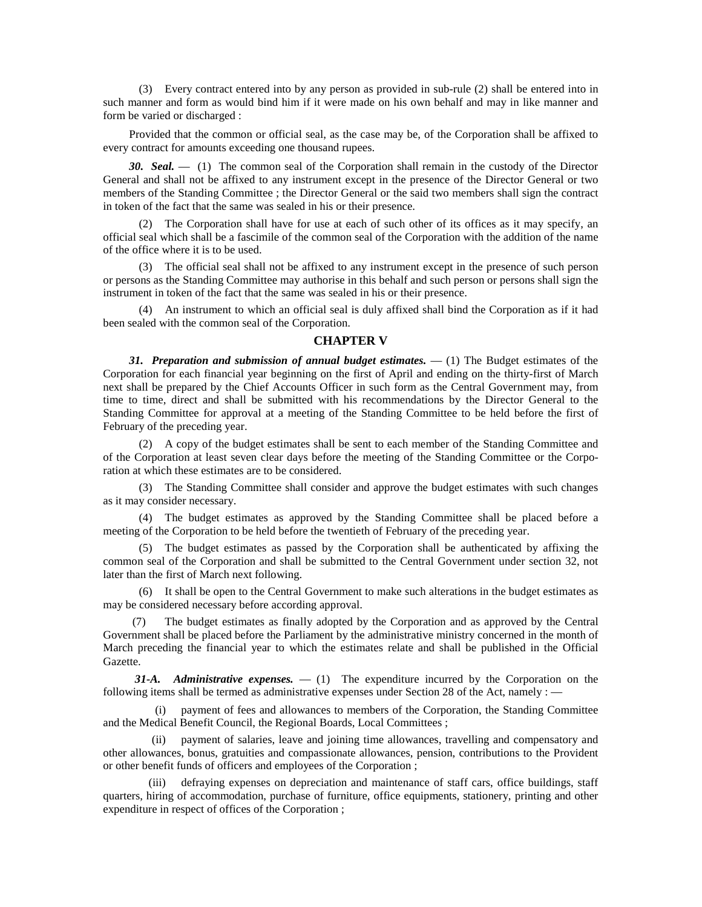(3) Every contract entered into by any person as provided in sub-rule (2) shall be entered into in such manner and form as would bind him if it were made on his own behalf and may in like manner and form be varied or discharged :

Provided that the common or official seal, as the case may be, of the Corporation shall be affixed to every contract for amounts exceeding one thousand rupees.

*30. Seal.* — (1) The common seal of the Corporation shall remain in the custody of the Director General and shall not be affixed to any instrument except in the presence of the Director General or two members of the Standing Committee ; the Director General or the said two members shall sign the contract in token of the fact that the same was sealed in his or their presence.

(2) The Corporation shall have for use at each of such other of its offices as it may specify, an official seal which shall be a fascimile of the common seal of the Corporation with the addition of the name of the office where it is to be used.

(3) The official seal shall not be affixed to any instrument except in the presence of such person or persons as the Standing Committee may authorise in this behalf and such person or persons shall sign the instrument in token of the fact that the same was sealed in his or their presence.

(4) An instrument to which an official seal is duly affixed shall bind the Corporation as if it had been sealed with the common seal of the Corporation.

# **CHAPTER V**

*31. Preparation and submission of annual budget estimates.* — (1) The Budget estimates of the Corporation for each financial year beginning on the first of April and ending on the thirty-first of March next shall be prepared by the Chief Accounts Officer in such form as the Central Government may, from time to time, direct and shall be submitted with his recommendations by the Director General to the Standing Committee for approval at a meeting of the Standing Committee to be held before the first of February of the preceding year.

(2) A copy of the budget estimates shall be sent to each member of the Standing Committee and of the Corporation at least seven clear days before the meeting of the Standing Committee or the Corporation at which these estimates are to be considered.

(3) The Standing Committee shall consider and approve the budget estimates with such changes as it may consider necessary.

(4) The budget estimates as approved by the Standing Committee shall be placed before a meeting of the Corporation to be held before the twentieth of February of the preceding year.

(5) The budget estimates as passed by the Corporation shall be authenticated by affixing the common seal of the Corporation and shall be submitted to the Central Government under section 32, not later than the first of March next following.

(6) It shall be open to the Central Government to make such alterations in the budget estimates as may be considered necessary before according approval.

The budget estimates as finally adopted by the Corporation and as approved by the Central Government shall be placed before the Parliament by the administrative ministry concerned in the month of March preceding the financial year to which the estimates relate and shall be published in the Official Gazette.

 *31-A. Administrative expenses.* — (1) The expenditure incurred by the Corporation on the following items shall be termed as administrative expenses under Section 28 of the Act, namely : —

payment of fees and allowances to members of the Corporation, the Standing Committee and the Medical Benefit Council, the Regional Boards, Local Committees ;

(ii) payment of salaries, leave and joining time allowances, travelling and compensatory and other allowances, bonus, gratuities and compassionate allowances, pension, contributions to the Provident or other benefit funds of officers and employees of the Corporation ;

(iii) defraying expenses on depreciation and maintenance of staff cars, office buildings, staff quarters, hiring of accommodation, purchase of furniture, office equipments, stationery, printing and other expenditure in respect of offices of the Corporation ;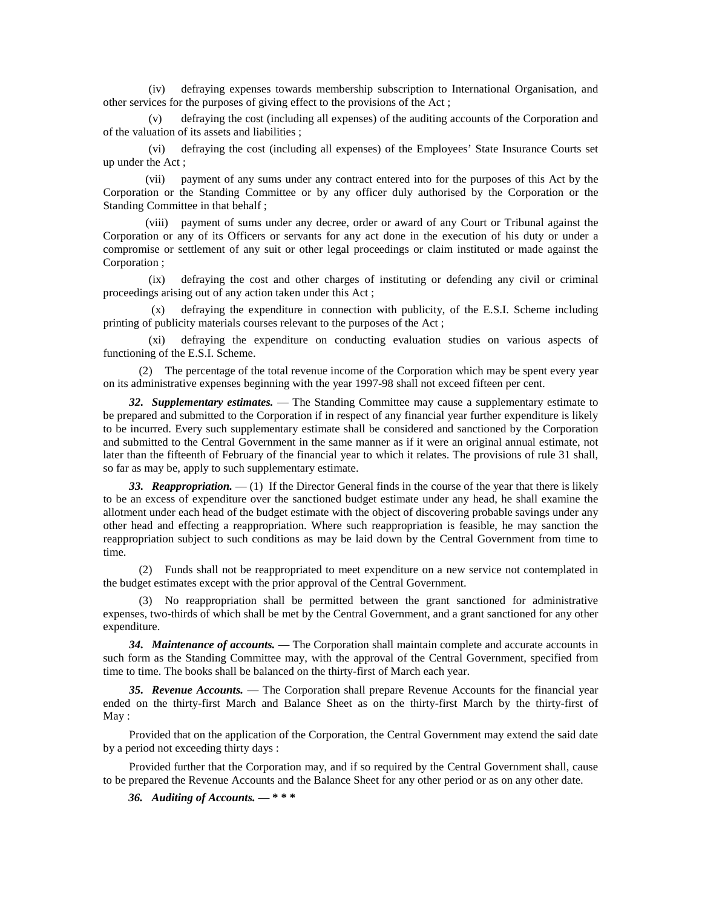(iv) defraying expenses towards membership subscription to International Organisation, and other services for the purposes of giving effect to the provisions of the Act ;

defraying the cost (including all expenses) of the auditing accounts of the Corporation and of the valuation of its assets and liabilities ;

(vi) defraying the cost (including all expenses) of the Employees' State Insurance Courts set up under the Act ;

(vii) payment of any sums under any contract entered into for the purposes of this Act by the Corporation or the Standing Committee or by any officer duly authorised by the Corporation or the Standing Committee in that behalf ;

(viii) payment of sums under any decree, order or award of any Court or Tribunal against the Corporation or any of its Officers or servants for any act done in the execution of his duty or under a compromise or settlement of any suit or other legal proceedings or claim instituted or made against the Corporation ;

(ix) defraying the cost and other charges of instituting or defending any civil or criminal proceedings arising out of any action taken under this Act ;

(x) defraying the expenditure in connection with publicity, of the E.S.I. Scheme including printing of publicity materials courses relevant to the purposes of the Act ;

(xi) defraying the expenditure on conducting evaluation studies on various aspects of functioning of the E.S.I. Scheme.

(2) The percentage of the total revenue income of the Corporation which may be spent every year on its administrative expenses beginning with the year 1997-98 shall not exceed fifteen per cent.

*32. Supplementary estimates.* — The Standing Committee may cause a supplementary estimate to be prepared and submitted to the Corporation if in respect of any financial year further expenditure is likely to be incurred. Every such supplementary estimate shall be considered and sanctioned by the Corporation and submitted to the Central Government in the same manner as if it were an original annual estimate, not later than the fifteenth of February of the financial year to which it relates. The provisions of rule 31 shall, so far as may be, apply to such supplementary estimate.

*33. Reappropriation.* — (1) If the Director General finds in the course of the year that there is likely to be an excess of expenditure over the sanctioned budget estimate under any head, he shall examine the allotment under each head of the budget estimate with the object of discovering probable savings under any other head and effecting a reappropriation. Where such reappropriation is feasible, he may sanction the reappropriation subject to such conditions as may be laid down by the Central Government from time to time.

(2) Funds shall not be reappropriated to meet expenditure on a new service not contemplated in the budget estimates except with the prior approval of the Central Government.

(3) No reappropriation shall be permitted between the grant sanctioned for administrative expenses, two-thirds of which shall be met by the Central Government, and a grant sanctioned for any other expenditure.

*34. Maintenance of accounts.* — The Corporation shall maintain complete and accurate accounts in such form as the Standing Committee may, with the approval of the Central Government, specified from time to time. The books shall be balanced on the thirty-first of March each year.

*35. Revenue Accounts.* — The Corporation shall prepare Revenue Accounts for the financial year ended on the thirty-first March and Balance Sheet as on the thirty-first March by the thirty-first of May:

Provided that on the application of the Corporation, the Central Government may extend the said date by a period not exceeding thirty days :

Provided further that the Corporation may, and if so required by the Central Government shall, cause to be prepared the Revenue Accounts and the Balance Sheet for any other period or as on any other date.

 *36. Auditing of Accounts.* — **\* \* \***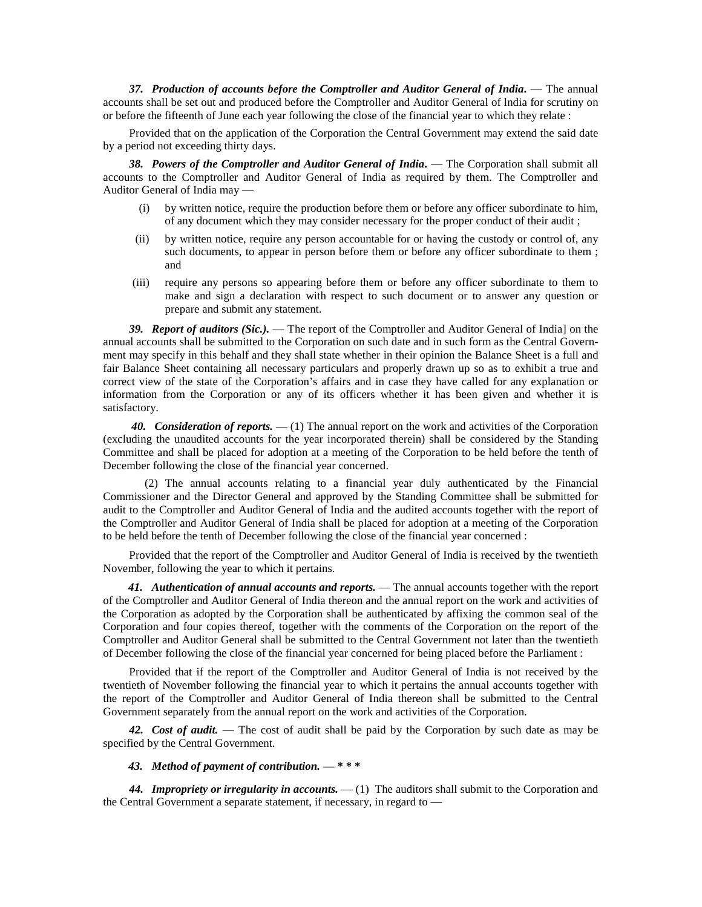*37. Production of accounts before the Comptroller and Auditor General of India***.** — The annual accounts shall be set out and produced before the Comptroller and Auditor General of lndia for scrutiny on or before the fifteenth of June each year following the close of the financial year to which they relate :

Provided that on the application of the Corporation the Central Government may extend the said date by a period not exceeding thirty days.

*38. Powers of the Comptroller and Auditor General of India***.** — The Corporation shall submit all accounts to the Comptroller and Auditor General of India as required by them. The Comptroller and Auditor General of India may —

- (i) by written notice, require the production before them or before any officer subordinate to him, of any document which they may consider necessary for the proper conduct of their audit ;
- (ii) by written notice, require any person accountable for or having the custody or control of, any such documents, to appear in person before them or before any officer subordinate to them; and
- (iii) require any persons so appearing before them or before any officer subordinate to them to make and sign a declaration with respect to such document or to answer any question or prepare and submit any statement.

*39. Report of auditors (Sic.).* — The report of the Comptroller and Auditor General of India] on the annual accounts shall be submitted to the Corporation on such date and in such form as the Central Government may specify in this behalf and they shall state whether in their opinion the Balance Sheet is a full and fair Balance Sheet containing all necessary particulars and properly drawn up so as to exhibit a true and correct view of the state of the Corporation's affairs and in case they have called for any explanation or information from the Corporation or any of its officers whether it has been given and whether it is satisfactory.

 *40. Consideration of reports.* — (1) The annual report on the work and activities of the Corporation (excluding the unaudited accounts for the year incorporated therein) shall be considered by the Standing Committee and shall be placed for adoption at a meeting of the Corporation to be held before the tenth of December following the close of the financial year concerned.

 (2) The annual accounts relating to a financial year duly authenticated by the Financial Commissioner and the Director General and approved by the Standing Committee shall be submitted for audit to the Comptroller and Auditor General of India and the audited accounts together with the report of the Comptroller and Auditor General of India shall be placed for adoption at a meeting of the Corporation to be held before the tenth of December following the close of the financial year concerned :

Provided that the report of the Comptroller and Auditor General of India is received by the twentieth November, following the year to which it pertains.

 *41. Authentication of annual accounts and reports.* — The annual accounts together with the report of the Comptroller and Auditor General of India thereon and the annual report on the work and activities of the Corporation as adopted by the Corporation shall be authenticated by affixing the common seal of the Corporation and four copies thereof, together with the comments of the Corporation on the report of the Comptroller and Auditor General shall be submitted to the Central Government not later than the twentieth of December following the close of the financial year concerned for being placed before the Parliament :

Provided that if the report of the Comptroller and Auditor General of India is not received by the twentieth of November following the financial year to which it pertains the annual accounts together with the report of the Comptroller and Auditor General of India thereon shall be submitted to the Central Government separately from the annual report on the work and activities of the Corporation.

*42. Cost of audit.* — The cost of audit shall be paid by the Corporation by such date as may be specified by the Central Government.

 *43. Method of payment of contribution.* **— \* \* \***

*44. Impropriety or irregularity in accounts.* — (1) The auditors shall submit to the Corporation and the Central Government a separate statement, if necessary, in regard to —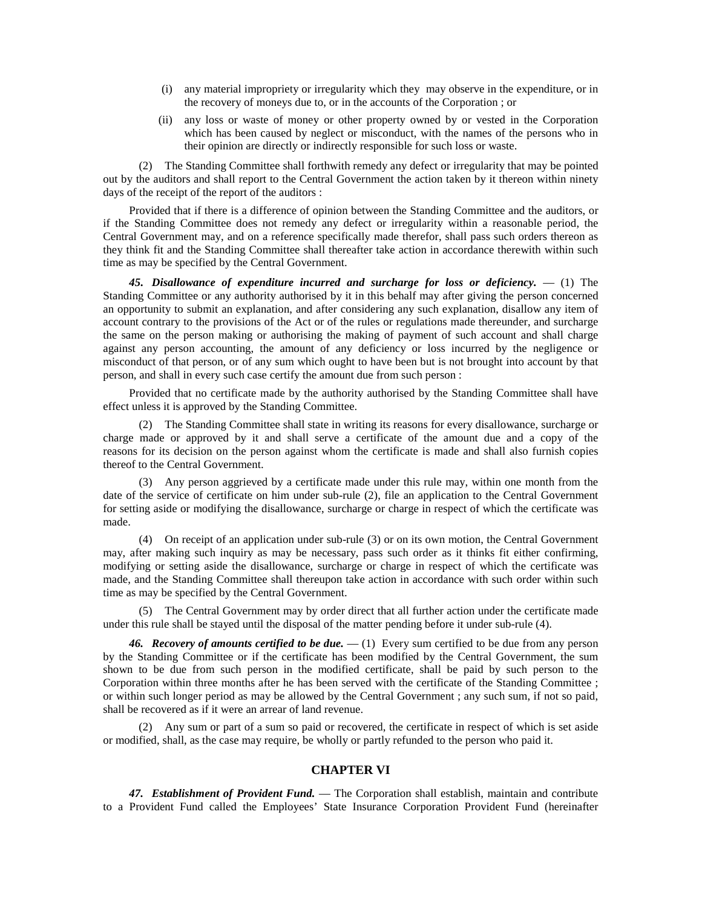- (i) any material impropriety or irregularity which they may observe in the expenditure, or in the recovery of moneys due to, or in the accounts of the Corporation ; or
- (ii) any loss or waste of money or other property owned by or vested in the Corporation which has been caused by neglect or misconduct, with the names of the persons who in their opinion are directly or indirectly responsible for such loss or waste.

(2) The Standing Committee shall forthwith remedy any defect or irregularity that may be pointed out by the auditors and shall report to the Central Government the action taken by it thereon within ninety days of the receipt of the report of the auditors :

Provided that if there is a difference of opinion between the Standing Committee and the auditors, or if the Standing Committee does not remedy any defect or irregularity within a reasonable period, the Central Government may, and on a reference specifically made therefor, shall pass such orders thereon as they think fit and the Standing Committee shall thereafter take action in accordance therewith within such time as may be specified by the Central Government.

*45. Disallowance of expenditure incurred and surcharge for loss or deficiency.* — (1) The Standing Committee or any authority authorised by it in this behalf may after giving the person concerned an opportunity to submit an explanation, and after considering any such explanation, disallow any item of account contrary to the provisions of the Act or of the rules or regulations made thereunder, and surcharge the same on the person making or authorising the making of payment of such account and shall charge against any person accounting, the amount of any deficiency or loss incurred by the negligence or misconduct of that person, or of any sum which ought to have been but is not brought into account by that person, and shall in every such case certify the amount due from such person :

Provided that no certificate made by the authority authorised by the Standing Committee shall have effect unless it is approved by the Standing Committee.

(2) The Standing Committee shall state in writing its reasons for every disallowance, surcharge or charge made or approved by it and shall serve a certificate of the amount due and a copy of the reasons for its decision on the person against whom the certificate is made and shall also furnish copies thereof to the Central Government.

(3) Any person aggrieved by a certificate made under this rule may, within one month from the date of the service of certificate on him under sub-rule (2), file an application to the Central Government for setting aside or modifying the disallowance, surcharge or charge in respect of which the certificate was made.

(4) On receipt of an application under sub-rule (3) or on its own motion, the Central Government may, after making such inquiry as may be necessary, pass such order as it thinks fit either confirming, modifying or setting aside the disallowance, surcharge or charge in respect of which the certificate was made, and the Standing Committee shall thereupon take action in accordance with such order within such time as may be specified by the Central Government.

(5) The Central Government may by order direct that all further action under the certificate made under this rule shall be stayed until the disposal of the matter pending before it under sub-rule (4).

*46. Recovery of amounts certified to be due.* — (1) Every sum certified to be due from any person by the Standing Committee or if the certificate has been modified by the Central Government, the sum shown to be due from such person in the modified certificate, shall be paid by such person to the Corporation within three months after he has been served with the certificate of the Standing Committee ; or within such longer period as may be allowed by the Central Government ; any such sum, if not so paid, shall be recovered as if it were an arrear of land revenue.

(2) Any sum or part of a sum so paid or recovered, the certificate in respect of which is set aside or modified, shall, as the case may require, be wholly or partly refunded to the person who paid it.

## **CHAPTER VI**

*47. Establishment of Provident Fund.* — The Corporation shall establish, maintain and contribute to a Provident Fund called the Employees' State Insurance Corporation Provident Fund (hereinafter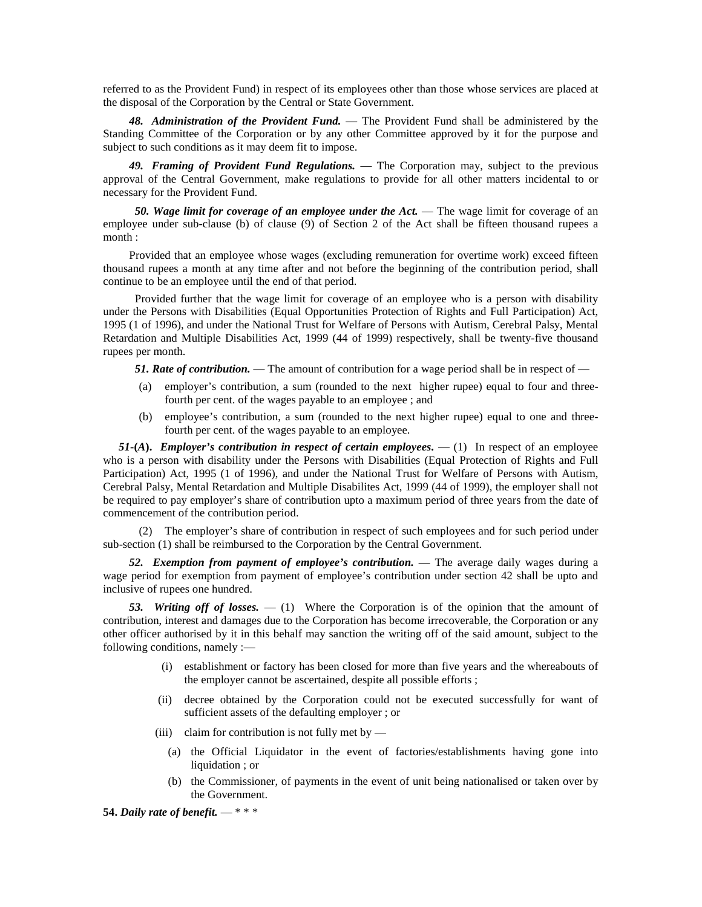referred to as the Provident Fund) in respect of its employees other than those whose services are placed at the disposal of the Corporation by the Central or State Government.

*48. Administration of the Provident Fund.* — The Provident Fund shall be administered by the Standing Committee of the Corporation or by any other Committee approved by it for the purpose and subject to such conditions as it may deem fit to impose.

*49. Framing of Provident Fund Regulations.* — The Corporation may, subject to the previous approval of the Central Government, make regulations to provide for all other matters incidental to or necessary for the Provident Fund.

 *50. Wage limit for coverage of an employee under the Act.* — The wage limit for coverage of an employee under sub-clause (b) of clause (9) of Section 2 of the Act shall be fifteen thousand rupees a month :

Provided that an employee whose wages (excluding remuneration for overtime work) exceed fifteen thousand rupees a month at any time after and not before the beginning of the contribution period, shall continue to be an employee until the end of that period.

 Provided further that the wage limit for coverage of an employee who is a person with disability under the Persons with Disabilities (Equal Opportunities Protection of Rights and Full Participation) Act, 1995 (1 of 1996), and under the National Trust for Welfare of Persons with Autism, Cerebral Palsy, Mental Retardation and Multiple Disabilities Act, 1999 (44 of 1999) respectively, shall be twenty-five thousand rupees per month.

**51. Rate of contribution.** — The amount of contribution for a wage period shall be in respect of —

- (a) employer's contribution, a sum (rounded to the next higher rupee) equal to four and threefourth per cent. of the wages payable to an employee ; and
- (b) employee's contribution, a sum (rounded to the next higher rupee) equal to one and threefourth per cent. of the wages payable to an employee.

*51***-(A).** *Employer's contribution in respect of certain employees*.  $- (1)$  In respect of an employee who is a person with disability under the Persons with Disabilities (Equal Protection of Rights and Full Participation) Act, 1995 (1 of 1996), and under the National Trust for Welfare of Persons with Autism, Cerebral Palsy, Mental Retardation and Multiple Disabilites Act, 1999 (44 of 1999), the employer shall not be required to pay employer's share of contribution upto a maximum period of three years from the date of commencement of the contribution period.

(2) The employer's share of contribution in respect of such employees and for such period under sub-section (1) shall be reimbursed to the Corporation by the Central Government.

*52. Exemption from payment of employee's contribution.* — The average daily wages during a wage period for exemption from payment of employee's contribution under section 42 shall be upto and inclusive of rupees one hundred.

*53. Writing off of losses.* — (1) Where the Corporation is of the opinion that the amount of contribution, interest and damages due to the Corporation has become irrecoverable, the Corporation or any other officer authorised by it in this behalf may sanction the writing off of the said amount, subject to the following conditions, namely :—

- (i) establishment or factory has been closed for more than five years and the whereabouts of the employer cannot be ascertained, despite all possible efforts ;
- (ii) decree obtained by the Corporation could not be executed successfully for want of sufficient assets of the defaulting employer ; or
- (iii) claim for contribution is not fully met by
	- (a) the Official Liquidator in the event of factories/establishments having gone into liquidation ; or
	- (b) the Commissioner, of payments in the event of unit being nationalised or taken over by the Government.

**54.** *Daily rate of benefit.* — \* \* \*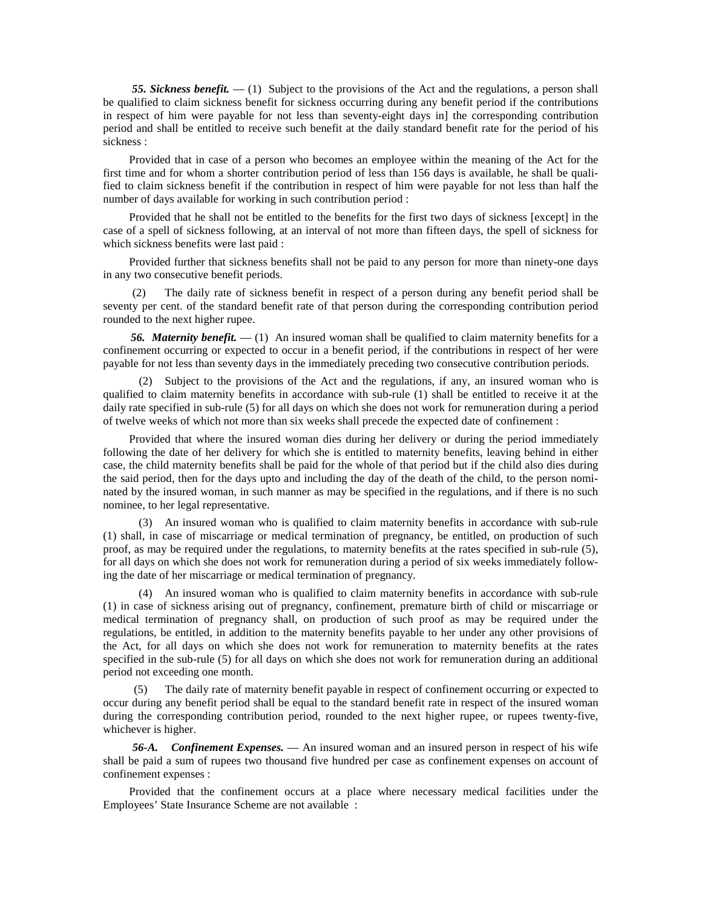*55. Sickness benefit.* — (1) Subject to the provisions of the Act and the regulations, a person shall be qualified to claim sickness benefit for sickness occurring during any benefit period if the contributions in respect of him were payable for not less than seventy-eight days in] the corresponding contribution period and shall be entitled to receive such benefit at the daily standard benefit rate for the period of his sickness :

Provided that in case of a person who becomes an employee within the meaning of the Act for the first time and for whom a shorter contribution period of less than 156 days is available, he shall be qualified to claim sickness benefit if the contribution in respect of him were payable for not less than half the number of days available for working in such contribution period :

Provided that he shall not be entitled to the benefits for the first two days of sickness [except] in the case of a spell of sickness following, at an interval of not more than fifteen days, the spell of sickness for which sickness benefits were last paid :

Provided further that sickness benefits shall not be paid to any person for more than ninety-one days in any two consecutive benefit periods.

The daily rate of sickness benefit in respect of a person during any benefit period shall be seventy per cent. of the standard benefit rate of that person during the corresponding contribution period rounded to the next higher rupee.

56. *Maternity benefit.*  $- (1)$  An insured woman shall be qualified to claim maternity benefits for a confinement occurring or expected to occur in a benefit period, if the contributions in respect of her were payable for not less than seventy days in the immediately preceding two consecutive contribution periods.

(2) Subject to the provisions of the Act and the regulations, if any, an insured woman who is qualified to claim maternity benefits in accordance with sub-rule (1) shall be entitled to receive it at the daily rate specified in sub-rule (5) for all days on which she does not work for remuneration during a period of twelve weeks of which not more than six weeks shall precede the expected date of confinement :

Provided that where the insured woman dies during her delivery or during the period immediately following the date of her delivery for which she is entitled to maternity benefits, leaving behind in either case, the child maternity benefits shall be paid for the whole of that period but if the child also dies during the said period, then for the days upto and including the day of the death of the child, to the person nominated by the insured woman, in such manner as may be specified in the regulations, and if there is no such nominee, to her legal representative.

(3) An insured woman who is qualified to claim maternity benefits in accordance with sub-rule (1) shall, in case of miscarriage or medical termination of pregnancy, be entitled, on production of such proof, as may be required under the regulations, to maternity benefits at the rates specified in sub-rule (5), for all days on which she does not work for remuneration during a period of six weeks immediately following the date of her miscarriage or medical termination of pregnancy.

(4) An insured woman who is qualified to claim maternity benefits in accordance with sub-rule (1) in case of sickness arising out of pregnancy, confinement, premature birth of child or miscarriage or medical termination of pregnancy shall, on production of such proof as may be required under the regulations, be entitled, in addition to the maternity benefits payable to her under any other provisions of the Act, for all days on which she does not work for remuneration to maternity benefits at the rates specified in the sub-rule (5) for all days on which she does not work for remuneration during an additional period not exceeding one month.

 (5) The daily rate of maternity benefit payable in respect of confinement occurring or expected to occur during any benefit period shall be equal to the standard benefit rate in respect of the insured woman during the corresponding contribution period, rounded to the next higher rupee, or rupees twenty-five, whichever is higher.

 *56-A. Confinement Expenses.* — An insured woman and an insured person in respect of his wife shall be paid a sum of rupees two thousand five hundred per case as confinement expenses on account of confinement expenses :

Provided that the confinement occurs at a place where necessary medical facilities under the Employees' State Insurance Scheme are not available :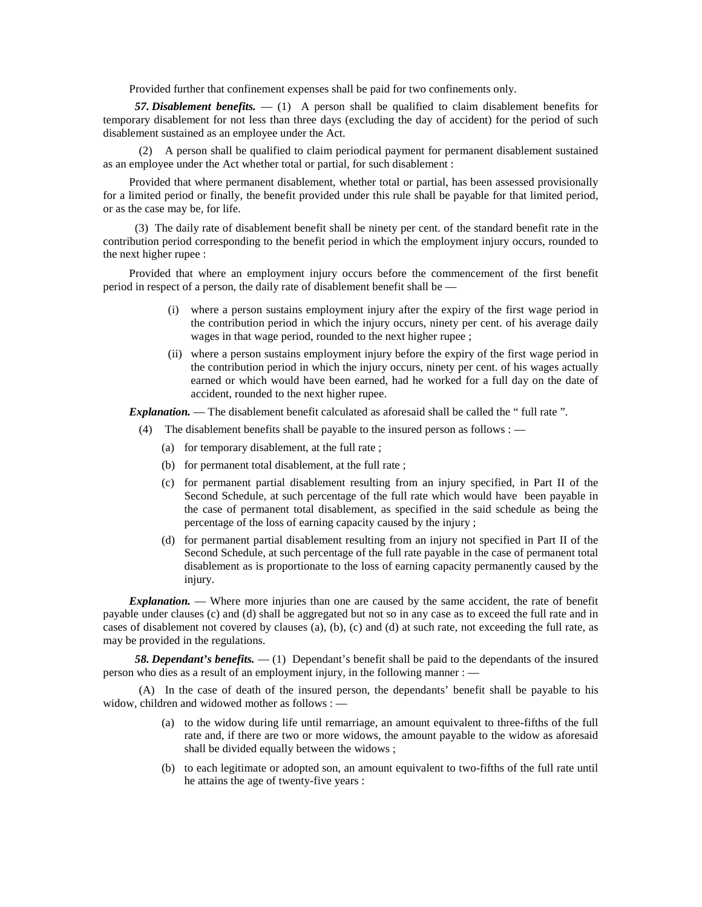Provided further that confinement expenses shall be paid for two confinements only.

 *57. Disablement benefits.* — (1) A person shall be qualified to claim disablement benefits for temporary disablement for not less than three days (excluding the day of accident) for the period of such disablement sustained as an employee under the Act.

(2) A person shall be qualified to claim periodical payment for permanent disablement sustained as an employee under the Act whether total or partial, for such disablement :

Provided that where permanent disablement, whether total or partial, has been assessed provisionally for a limited period or finally, the benefit provided under this rule shall be payable for that limited period, or as the case may be, for life.

 (3) The daily rate of disablement benefit shall be ninety per cent. of the standard benefit rate in the contribution period corresponding to the benefit period in which the employment injury occurs, rounded to the next higher rupee :

Provided that where an employment injury occurs before the commencement of the first benefit period in respect of a person, the daily rate of disablement benefit shall be —

- (i) where a person sustains employment injury after the expiry of the first wage period in the contribution period in which the injury occurs, ninety per cent. of his average daily wages in that wage period, rounded to the next higher rupee ;
- (ii) where a person sustains employment injury before the expiry of the first wage period in the contribution period in which the injury occurs, ninety per cent. of his wages actually earned or which would have been earned, had he worked for a full day on the date of accident, rounded to the next higher rupee.

*Explanation.* — The disablement benefit calculated as aforesaid shall be called the "full rate".

- (4) The disablement benefits shall be payable to the insured person as follows :
	- (a) for temporary disablement, at the full rate ;
	- (b) for permanent total disablement, at the full rate ;
	- (c) for permanent partial disablement resulting from an injury specified, in Part II of the Second Schedule, at such percentage of the full rate which would have been payable in the case of permanent total disablement, as specified in the said schedule as being the percentage of the loss of earning capacity caused by the injury ;
	- (d) for permanent partial disablement resulting from an injury not specified in Part II of the Second Schedule, at such percentage of the full rate payable in the case of permanent total disablement as is proportionate to the loss of earning capacity permanently caused by the injury.

*Explanation.* — Where more injuries than one are caused by the same accident, the rate of benefit payable under clauses (c) and (d) shall be aggregated but not so in any case as to exceed the full rate and in cases of disablement not covered by clauses (a), (b), (c) and (d) at such rate, not exceeding the full rate, as may be provided in the regulations.

 *58. Dependant's benefits.* — (1) Dependant's benefit shall be paid to the dependants of the insured person who dies as a result of an employment injury, in the following manner : —

(A) In the case of death of the insured person, the dependants' benefit shall be payable to his widow, children and widowed mother as follows : —

- (a) to the widow during life until remarriage, an amount equivalent to three-fifths of the full rate and, if there are two or more widows, the amount payable to the widow as aforesaid shall be divided equally between the widows ;
- (b) to each legitimate or adopted son, an amount equivalent to two-fifths of the full rate until he attains the age of twenty-five years :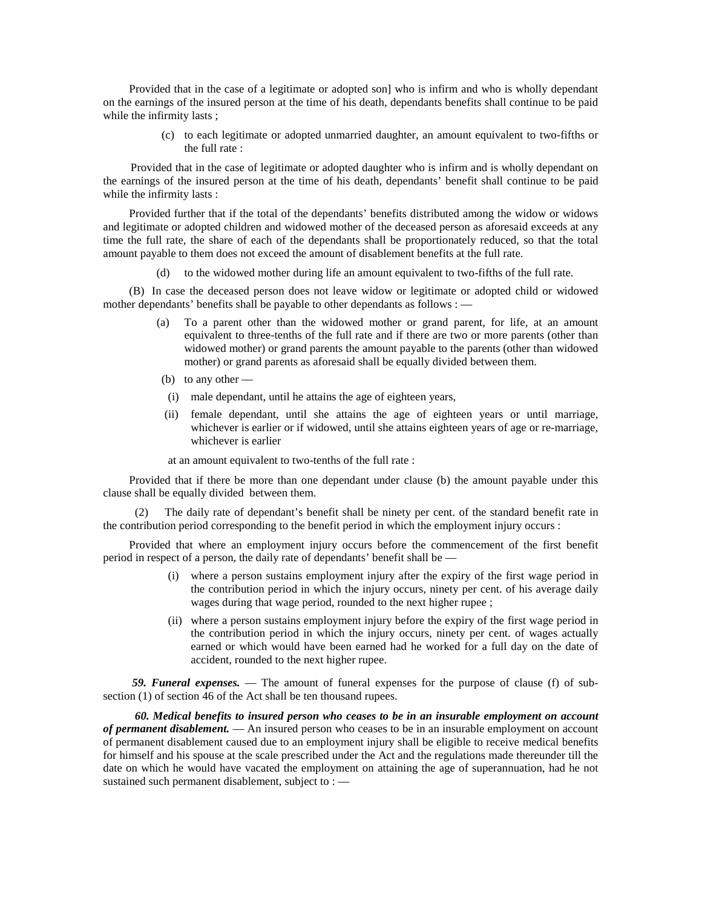Provided that in the case of a legitimate or adopted son] who is infirm and who is wholly dependant on the earnings of the insured person at the time of his death, dependants benefits shall continue to be paid while the infirmity lasts ;

> (c) to each legitimate or adopted unmarried daughter, an amount equivalent to two-fifths or the full rate :

Provided that in the case of legitimate or adopted daughter who is infirm and is wholly dependant on the earnings of the insured person at the time of his death, dependants' benefit shall continue to be paid while the infirmity lasts :

Provided further that if the total of the dependants' benefits distributed among the widow or widows and legitimate or adopted children and widowed mother of the deceased person as aforesaid exceeds at any time the full rate, the share of each of the dependants shall be proportionately reduced, so that the total amount payable to them does not exceed the amount of disablement benefits at the full rate.

(d) to the widowed mother during life an amount equivalent to two-fifths of the full rate.

(B) In case the deceased person does not leave widow or legitimate or adopted child or widowed mother dependants' benefits shall be payable to other dependants as follows : —

- (a) To a parent other than the widowed mother or grand parent, for life, at an amount equivalent to three-tenths of the full rate and if there are two or more parents (other than widowed mother) or grand parents the amount payable to the parents (other than widowed mother) or grand parents as aforesaid shall be equally divided between them.
- (b) to any other  $-$
- (i) male dependant, until he attains the age of eighteen years,
- (ii) female dependant, until she attains the age of eighteen years or until marriage, whichever is earlier or if widowed, until she attains eighteen years of age or re-marriage, whichever is earlier

at an amount equivalent to two-tenths of the full rate :

Provided that if there be more than one dependant under clause (b) the amount payable under this clause shall be equally divided between them.

The daily rate of dependant's benefit shall be ninety per cent. of the standard benefit rate in the contribution period corresponding to the benefit period in which the employment injury occurs :

Provided that where an employment injury occurs before the commencement of the first benefit period in respect of a person, the daily rate of dependants' benefit shall be —

- (i) where a person sustains employment injury after the expiry of the first wage period in the contribution period in which the injury occurs, ninety per cent. of his average daily wages during that wage period, rounded to the next higher rupee ;
- (ii) where a person sustains employment injury before the expiry of the first wage period in the contribution period in which the injury occurs, ninety per cent. of wages actually earned or which would have been earned had he worked for a full day on the date of accident, rounded to the next higher rupee.

*59. Funeral expenses.* — The amount of funeral expenses for the purpose of clause (f) of subsection (1) of section 46 of the Act shall be ten thousand rupees.

 *60. Medical benefits to insured person who ceases to be in an insurable employment on account of permanent disablement.* — An insured person who ceases to be in an insurable employment on account of permanent disablement caused due to an employment injury shall be eligible to receive medical benefits for himself and his spouse at the scale prescribed under the Act and the regulations made thereunder till the date on which he would have vacated the employment on attaining the age of superannuation, had he not sustained such permanent disablement, subject to : -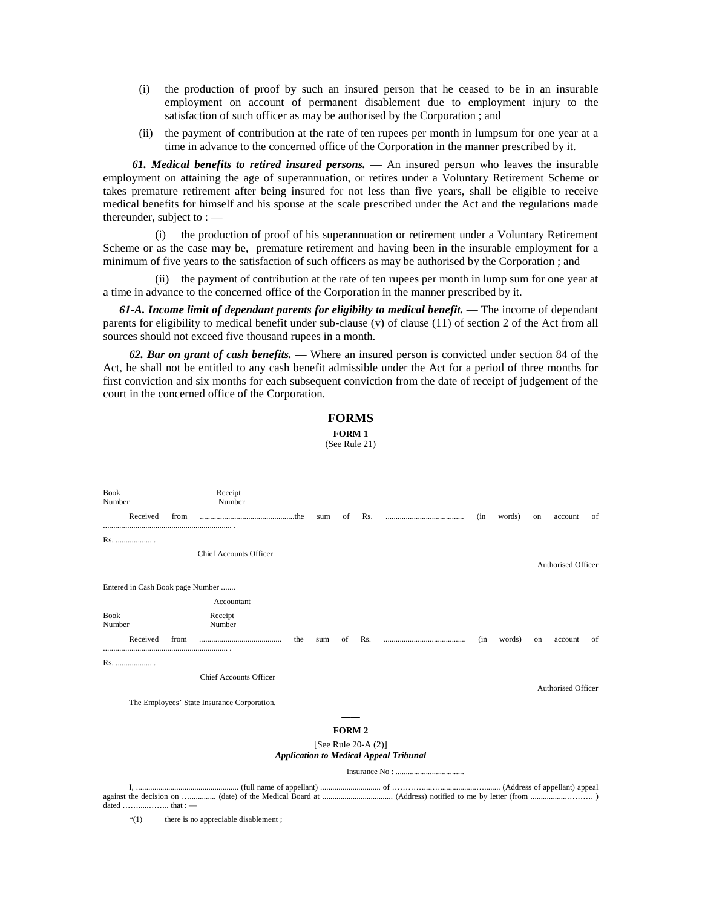- (i) the production of proof by such an insured person that he ceased to be in an insurable employment on account of permanent disablement due to employment injury to the satisfaction of such officer as may be authorised by the Corporation ; and
- (ii) the payment of contribution at the rate of ten rupees per month in lumpsum for one year at a time in advance to the concerned office of the Corporation in the manner prescribed by it.

*61. Medical benefits to retired insured persons.* — An insured person who leaves the insurable employment on attaining the age of superannuation, or retires under a Voluntary Retirement Scheme or takes premature retirement after being insured for not less than five years, shall be eligible to receive medical benefits for himself and his spouse at the scale prescribed under the Act and the regulations made thereunder, subject to : —

(i) the production of proof of his superannuation or retirement under a Voluntary Retirement Scheme or as the case may be, premature retirement and having been in the insurable employment for a minimum of five years to the satisfaction of such officers as may be authorised by the Corporation ; and

(ii) the payment of contribution at the rate of ten rupees per month in lump sum for one year at a time in advance to the concerned office of the Corporation in the manner prescribed by it.

*61-A. Income limit of dependant parents for eligibilty to medical benefit.* — The income of dependant parents for eligibility to medical benefit under sub-clause (v) of clause (11) of section 2 of the Act from all sources should not exceed five thousand rupees in a month.

*62. Bar on grant of cash benefits.* — Where an insured person is convicted under section 84 of the Act, he shall not be entitled to any cash benefit admissible under the Act for a period of three months for first conviction and six months for each subsequent conviction from the date of receipt of judgement of the court in the concerned office of the Corporation.

|                         |                             |      |                                             |     |     |                   | <b>FORMS</b>           |                                               |      |        |    |                    |    |
|-------------------------|-----------------------------|------|---------------------------------------------|-----|-----|-------------------|------------------------|-----------------------------------------------|------|--------|----|--------------------|----|
| FORM 1<br>(See Rule 21) |                             |      |                                             |     |     |                   |                        |                                               |      |        |    |                    |    |
|                         |                             |      |                                             |     |     |                   |                        |                                               |      |        |    |                    |    |
| <b>Book</b><br>Number   |                             |      | Receipt<br>Number                           |     |     |                   |                        |                                               |      |        |    |                    |    |
|                         | Received                    | from |                                             |     | sum | of                | Rs.                    |                                               | (in  | words) | on | account            | of |
|                         | Rs.                         |      | <b>Chief Accounts Officer</b>               |     |     |                   |                        |                                               |      |        |    |                    |    |
|                         |                             |      | Entered in Cash Book page Number            |     |     |                   |                        |                                               |      |        |    | Authorised Officer |    |
|                         |                             |      | Accountant                                  |     |     |                   |                        |                                               |      |        |    |                    |    |
| <b>Book</b><br>Number   |                             |      | Receipt<br>Number                           |     |     |                   |                        |                                               |      |        |    |                    |    |
|                         | Received                    | from |                                             | the | sum | οf                | Rs.                    |                                               | (in) | words) | on | account            | of |
| Rs.                     |                             |      |                                             |     |     |                   |                        |                                               |      |        |    |                    |    |
|                         |                             |      | Chief Accounts Officer                      |     |     |                   |                        |                                               |      |        |    | Authorised Officer |    |
|                         |                             |      | The Employees' State Insurance Corporation. |     |     |                   |                        |                                               |      |        |    |                    |    |
|                         |                             |      |                                             |     |     | FORM <sub>2</sub> |                        |                                               |      |        |    |                    |    |
|                         |                             |      |                                             |     |     |                   | [See Rule 20-A $(2)$ ] |                                               |      |        |    |                    |    |
|                         |                             |      |                                             |     |     |                   |                        | <b>Application to Medical Appeal Tribunal</b> |      |        |    |                    |    |
|                         |                             |      |                                             |     |     |                   |                        |                                               |      |        |    |                    |    |
|                         | $\sim$ $\sim$ $\sim$ $\sim$ |      | $\cdot$ $\cdot$ $\cdot$                     |     |     |                   |                        |                                               |      |        |    |                    |    |

\*(1) there is no appreciable disablement ;